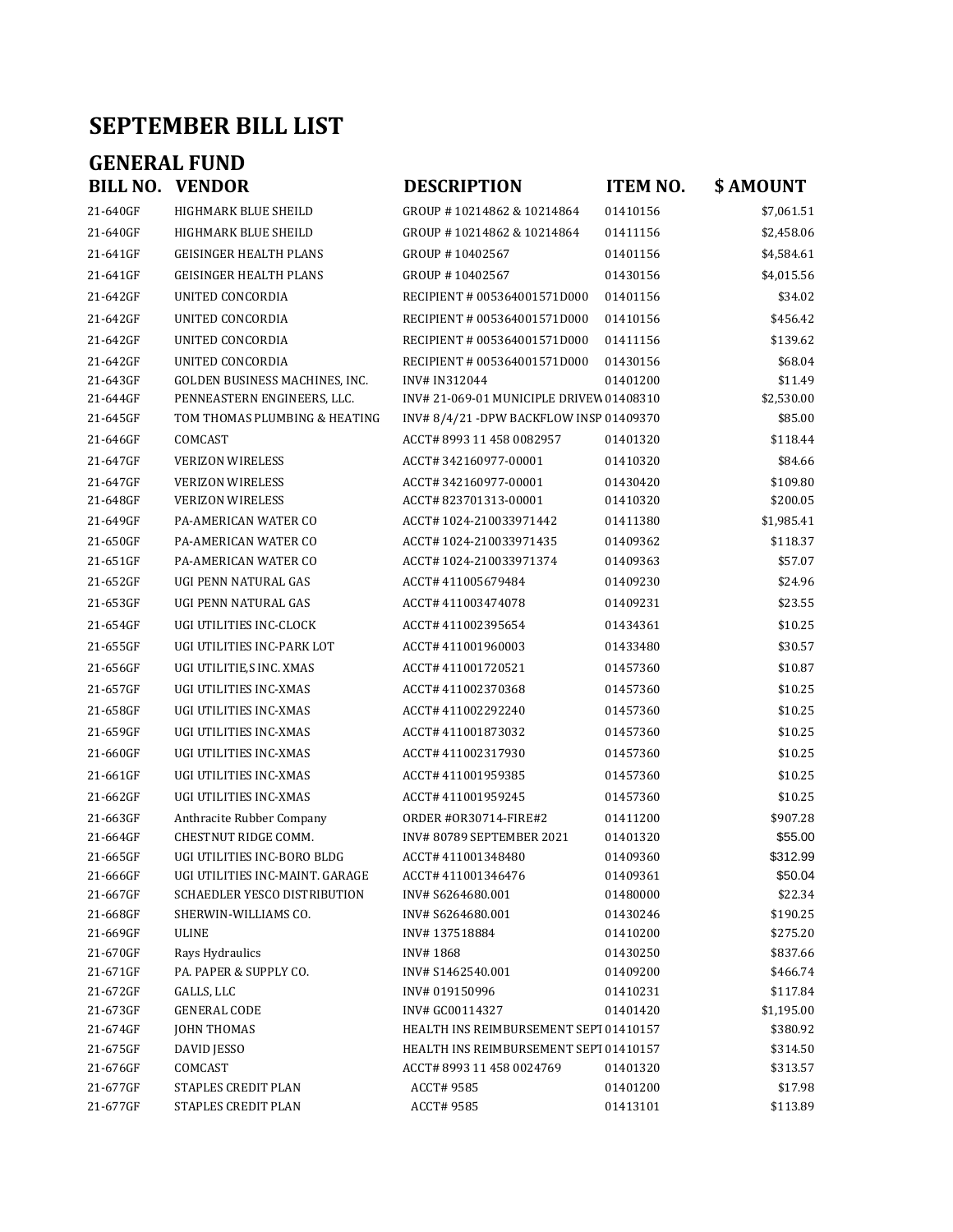## **SEPTEMBER BILL LIST**

## **GENERAL FUND<br>BILL NO. VENDOR**

| 21-640GF             | HIGHMARK BLUE SHEILD            |
|----------------------|---------------------------------|
| 21-640GF             | HIGHMARK BLUE SHEILD            |
| 21-641GF             | <b>GEISINGER HEALTH PLANS</b>   |
| 21-641GF             | <b>GEISINGER HEALTH PLANS</b>   |
| 21-642GF             | UNITED CONCORDIA                |
| 21-642GF             | UNITED CONCORDIA                |
| 21-642GF             | UNITED CONCORDIA                |
| 21-642GF             | UNITED CONCORDIA                |
| 21-643GF             | GOLDEN BUSINESS MACHINES, INC.  |
| 21-644GF             | PENNEASTERN ENGINEERS, LLC.     |
| 21-645GF             | TOM THOMAS PLUMBING & HEATING   |
| 21-646GF             | COMCAST                         |
| 21-647GF             | <b>VERIZON WIRELESS</b>         |
| 21-647GF             | <b>VERIZON WIRELESS</b>         |
| 21-648GF             | <b>VERIZON WIRELESS</b>         |
| 21-649GF             | <b>PA-AMERICAN WATER CO</b>     |
| 21-650GF             | <b>PA-AMERICAN WATER CO</b>     |
| 21-651GF             | <b>PA-AMERICAN WATER CO</b>     |
| 21-652GF             | UGI PENN NATURAL GAS            |
| 21-653GF             | UGI PENN NATURAL GAS            |
| 21-654GF             | UGI UTILITIES INC-CLOCK         |
| 21-655GF             | UGI UTILITIES INC-PARK LOT      |
| 21-656GF             | UGI UTILITIE,S INC. XMAS        |
| 21-657GF             | UGI UTILITIES INC-XMAS          |
| 21-658GF             | UGI UTILITIES INC-XMAS          |
| 21-659GF             | UGI UTILITIES INC-XMAS          |
| 21-660GF             | UGI UTILITIES INC-XMAS          |
| 21-661GF             | UGI UTILITIES INC-XMAS          |
| 21-662GF             | UGI UTILITIES INC-XMAS          |
| 21-663GF             | Anthracite Rubber Company       |
| 21-664GF             | CHESTNUT RIDGE COMM.            |
| 21-665GF             | UGI UTILITIES INC-BORO BLDG     |
| 21-666GF             | UGI UTILITIES INC-MAINT. GARAGE |
| 21-667GF             | SCHAEDLER YESCO DISTRIBUTION    |
| 21-668GF             | SHERWIN-WILLIAMS CO.            |
| 21-669GF             | ULINE                           |
| 21-670GF             | Rays Hydraulics                 |
| 21-671GF             | PA. PAPER & SUPPLY CO.          |
| 21-672GF             | GALLS, LLC                      |
| 21-673GF             | <b>GENERAL CODE</b>             |
| 21-674GF             | <b>JOHN THOMAS</b>              |
| 21-675GF             | DAVID JESSO                     |
| 21-676GF             | COMCAST<br>STAPLES CREDIT PLAN  |
| 21-677GF<br>21-677GF | STAPLES CREDIT PLAN             |
|                      |                                 |

| BILL NO.             | <b>VENDOR</b>                              | <b>DESCRIPTION</b>                      | <b>ITEM NO.</b>      | \$AMOUNT            |
|----------------------|--------------------------------------------|-----------------------------------------|----------------------|---------------------|
| 21-640GF             | HIGHMARK BLUE SHEILD                       | GROUP #10214862 & 10214864              | 01410156             | \$7,061.51          |
| 21-640GF             | HIGHMARK BLUE SHEILD                       | GROUP #10214862 & 10214864              | 01411156             | \$2,458.06          |
| 21-641GF             | <b>GEISINGER HEALTH PLANS</b>              | GROUP #10402567                         | 01401156             | \$4,584.61          |
| 21-641GF             | <b>GEISINGER HEALTH PLANS</b>              | GROUP #10402567                         | 01430156             | \$4,015.56          |
| 21-642GF             | UNITED CONCORDIA                           | RECIPIENT # 005364001571D000            | 01401156             | \$34.02             |
| 21-642GF             | UNITED CONCORDIA                           | RECIPIENT # 005364001571D000            | 01410156             | \$456.42            |
| 21-642GF             | UNITED CONCORDIA                           | RECIPIENT # 005364001571D000            | 01411156             | \$139.62            |
| 21-642GF             | UNITED CONCORDIA                           | RECIPIENT # 005364001571D000            | 01430156             | \$68.04             |
| 21-643GF             | GOLDEN BUSINESS MACHINES, INC.             | INV# IN312044                           | 01401200             | \$11.49             |
| 21-644GF             | PENNEASTERN ENGINEERS, LLC.                | INV#21-069-01 MUNICIPLE DRIVEW 01408310 |                      | \$2,530.00          |
| 21-645GF             | TOM THOMAS PLUMBING & HEATING              | INV#8/4/21-DPW BACKFLOW INSP 01409370   |                      | \$85.00             |
| 21-646GF             | COMCAST                                    | ACCT# 8993 11 458 0082957               | 01401320             | \$118.44            |
| 21-647GF             | <b>VERIZON WIRELESS</b>                    | ACCT#342160977-00001                    | 01410320             | \$84.66             |
| 21-647GF             | <b>VERIZON WIRELESS</b>                    | ACCT#342160977-00001                    | 01430420             | \$109.80            |
| 21-648GF             | <b>VERIZON WIRELESS</b>                    | ACCT#823701313-00001                    | 01410320             | \$200.05            |
| 21-649GF             | PA-AMERICAN WATER CO                       | ACCT# 1024-210033971442                 | 01411380             | \$1,985.41          |
| 21-650GF             | PA-AMERICAN WATER CO                       | ACCT# 1024-210033971435                 | 01409362             | \$118.37            |
| 21-651GF             | PA-AMERICAN WATER CO                       | ACCT#1024-210033971374                  | 01409363             | \$57.07             |
| 21-652GF             | UGI PENN NATURAL GAS                       | ACCT#411005679484                       | 01409230             | \$24.96             |
| 21-653GF             | UGI PENN NATURAL GAS                       | ACCT# 411003474078                      | 01409231             | \$23.55             |
| 21-654GF             | UGI UTILITIES INC-CLOCK                    | ACCT# 411002395654                      | 01434361             | \$10.25             |
| 21-655GF             | UGI UTILITIES INC-PARK LOT                 | ACCT#411001960003                       | 01433480             | \$30.57             |
| 21-656GF             | UGI UTILITIE,S INC. XMAS                   | ACCT#411001720521                       | 01457360             | \$10.87             |
| 21-657GF             | UGI UTILITIES INC-XMAS                     | ACCT#411002370368                       | 01457360             | \$10.25             |
| 21-658GF             | UGI UTILITIES INC-XMAS                     | ACCT#411002292240                       | 01457360             | \$10.25             |
| 21-659GF             | UGI UTILITIES INC-XMAS                     | ACCT#411001873032                       | 01457360             | \$10.25             |
| 21-660GF             | UGI UTILITIES INC-XMAS                     | ACCT# 411002317930                      | 01457360             | \$10.25             |
| 21-661GF             | UGI UTILITIES INC-XMAS                     | ACCT# 411001959385                      | 01457360             | \$10.25             |
| 21-662GF             | UGI UTILITIES INC-XMAS                     | ACCT# 411001959245                      | 01457360             | \$10.25             |
| 21-663GF             | Anthracite Rubber Company                  | <b>ORDER #OR30714-FIRE#2</b>            | 01411200             | \$907.28            |
| 21-664GF             | CHESTNUT RIDGE COMM.                       | INV#80789 SEPTEMBER 2021                | 01401320             | \$55.00             |
| 21-665GF             | UGI UTILITIES INC-BORO BLDG                | ACCT#411001348480                       | 01409360             | \$312.99            |
| 21-666GF             | UGI UTILITIES INC-MAINT. GARAGE            | ACCT# 411001346476                      | 01409361             | \$50.04             |
| 21-667GF             | SCHAEDLER YESCO DISTRIBUTION               | INV# S6264680.001                       | 01480000             | \$22.34             |
| 21-668GF             | SHERWIN-WILLIAMS CO.                       | INV# S6264680.001                       | 01430246             | \$190.25            |
| 21-669GF             | <b>ULINE</b>                               | INV#137518884                           | 01410200             | \$275.20            |
| 21-670GF             | Rays Hydraulics                            | INV#1868                                | 01430250             | \$837.66            |
| 21-671GF             | PA. PAPER & SUPPLY CO.                     | INV# S1462540.001                       | 01409200             | \$466.74            |
| 21-672GF             | GALLS, LLC                                 | INV# 019150996                          | 01410231             | \$117.84            |
| 21-673GF             | <b>GENERAL CODE</b>                        | INV# GC00114327                         | 01401420             | \$1,195.00          |
| 21-674GF             | <b>JOHN THOMAS</b>                         | HEALTH INS REIMBURSEMENT SEPT 01410157  |                      | \$380.92            |
| 21-675GF             | DAVID JESSO                                | HEALTH INS REIMBURSEMENT SEPT 01410157  |                      | \$314.50            |
| 21-676GF             | COMCAST                                    | ACCT# 8993 11 458 0024769               | 01401320             | \$313.57            |
| 21-677GF<br>21-677GF | STAPLES CREDIT PLAN<br>STAPLES CREDIT PLAN | ACCT# 9585<br><b>ACCT#9585</b>          | 01401200<br>01413101 | \$17.98<br>\$113.89 |
|                      |                                            |                                         |                      |                     |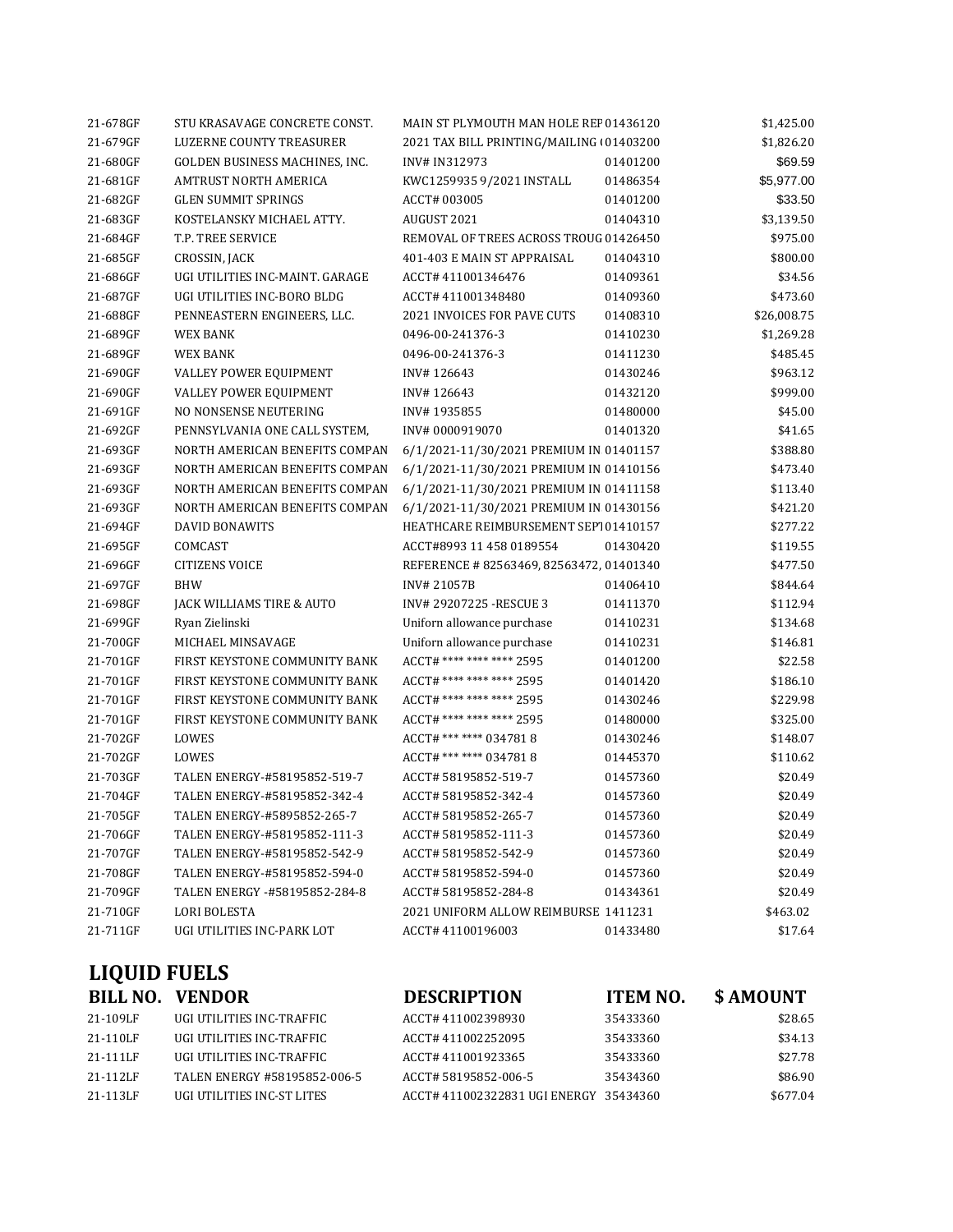|                     | <b>BILL NO. VENDOR</b>          | <b>DESCRIPTION</b>                       | <b>ITEM NO.</b> | \$AMOUNT    |
|---------------------|---------------------------------|------------------------------------------|-----------------|-------------|
| <b>LIQUID FUELS</b> |                                 |                                          |                 |             |
|                     |                                 |                                          |                 |             |
| 21-711GF            | UGI UTILITIES INC-PARK LOT      | ACCT# 41100196003                        | 01433480        | \$17.64     |
| 21-710GF            | <b>LORI BOLESTA</b>             | 2021 UNIFORM ALLOW REIMBURSE 1411231     |                 | \$463.02    |
| 21-709GF            | TALEN ENERGY -#58195852-284-8   | ACCT# 58195852-284-8                     | 01434361        | \$20.49     |
| 21-708GF            | TALEN ENERGY-#58195852-594-0    | ACCT# 58195852-594-0                     | 01457360        | \$20.49     |
| 21-707GF            | TALEN ENERGY-#58195852-542-9    | ACCT# 58195852-542-9                     | 01457360        | \$20.49     |
| 21-706GF            | TALEN ENERGY-#58195852-111-3    | ACCT# 58195852-111-3                     | 01457360        | \$20.49     |
| 21-705GF            | TALEN ENERGY-#5895852-265-7     | ACCT# 58195852-265-7                     | 01457360        | \$20.49     |
| 21-704GF            | TALEN ENERGY-#58195852-342-4    | ACCT# 58195852-342-4                     | 01457360        | \$20.49     |
| 21-703GF            | TALEN ENERGY-#58195852-519-7    | ACCT# 58195852-519-7                     | 01457360        | \$20.49     |
| 21-702GF            | LOWES                           | ACCT# *** **** 0347818                   | 01445370        | \$110.62    |
| 21-702GF            | LOWES                           | ACCT# *** **** 0347818                   | 01430246        | \$148.07    |
| 21-701GF            | FIRST KEYSTONE COMMUNITY BANK   | ACCT# **** **** **** 2595                | 01480000        | \$325.00    |
| 21-701GF            | FIRST KEYSTONE COMMUNITY BANK   | ACCT# **** **** **** 2595                | 01430246        | \$229.98    |
| 21-701GF            | FIRST KEYSTONE COMMUNITY BANK   | ACCT# **** **** **** 2595                | 01401420        | \$186.10    |
| 21-701GF            | FIRST KEYSTONE COMMUNITY BANK   | ACCT# **** **** **** 2595                | 01401200        | \$22.58     |
| 21-700GF            | MICHAEL MINSAVAGE               | Uniforn allowance purchase               | 01410231        | \$146.81    |
| 21-699GF            | Ryan Zielinski                  | Uniforn allowance purchase               | 01410231        | \$134.68    |
| 21-698GF            | JACK WILLIAMS TIRE & AUTO       | INV# 29207225 - RESCUE 3                 | 01411370        | \$112.94    |
| 21-697GF            | <b>BHW</b>                      | INV#21057B                               | 01406410        | \$844.64    |
| 21-696GF            | <b>CITIZENS VOICE</b>           | REFERENCE #82563469, 82563472, 01401340  |                 | \$477.50    |
| 21-695GF            | COMCAST                         | ACCT#8993 11 458 0189554                 | 01430420        | \$119.55    |
| 21-694GF            | DAVID BONAWITS                  | HEATHCARE REIMBURSEMENT SEP101410157     |                 | \$277.22    |
| 21-693GF            | NORTH AMERICAN BENEFITS COMPAN  | 6/1/2021-11/30/2021 PREMIUM IN 01430156  |                 | \$421.20    |
| 21-693GF            | NORTH AMERICAN BENEFITS COMPAN  | 6/1/2021-11/30/2021 PREMIUM IN 01411158  |                 | \$113.40    |
| 21-693GF            | NORTH AMERICAN BENEFITS COMPAN  | 6/1/2021-11/30/2021 PREMIUM IN 01410156  |                 | \$473.40    |
| 21-693GF            | NORTH AMERICAN BENEFITS COMPAN  | 6/1/2021-11/30/2021 PREMIUM IN 01401157  |                 | \$388.80    |
| 21-692GF            | PENNSYLVANIA ONE CALL SYSTEM,   | INV#0000919070                           | 01401320        | \$41.65     |
| 21-691GF            | NO NONSENSE NEUTERING           | INV#1935855                              | 01480000        | \$45.00     |
| 21-690GF            | VALLEY POWER EQUIPMENT          | INV#126643                               | 01432120        | \$999.00    |
| 21-690GF            | VALLEY POWER EQUIPMENT          | INV#126643                               | 01430246        | \$963.12    |
| 21-689GF            | <b>WEX BANK</b>                 | 0496-00-241376-3                         | 01411230        | \$485.45    |
| 21-689GF            | WEX BANK                        | 0496-00-241376-3                         | 01410230        | \$1,269.28  |
| 21-688GF            | PENNEASTERN ENGINEERS, LLC.     | 2021 INVOICES FOR PAVE CUTS              | 01408310        | \$26,008.75 |
| 21-687GF            | UGI UTILITIES INC-BORO BLDG     | ACCT# 411001348480                       | 01409360        | \$473.60    |
| 21-686GF            | UGI UTILITIES INC-MAINT. GARAGE | ACCT#411001346476                        | 01409361        | \$34.56     |
| 21-685GF            | CROSSIN, JACK                   | 401-403 E MAIN ST APPRAISAL              | 01404310        | \$800.00    |
| 21-684GF            | T.P. TREE SERVICE               | REMOVAL OF TREES ACROSS TROUG 01426450   |                 | \$975.00    |
| 21-683GF            | KOSTELANSKY MICHAEL ATTY.       | AUGUST 2021                              | 01404310        | \$3,139.50  |
| 21-682GF            | <b>GLEN SUMMIT SPRINGS</b>      | ACCT# 003005                             | 01401200        | \$33.50     |
| 21-681GF            | AMTRUST NORTH AMERICA           | KWC1259935 9/2021 INSTALL                | 01486354        | \$5,977.00  |
| 21-680GF            | GOLDEN BUSINESS MACHINES, INC.  | INV# IN312973                            | 01401200        | \$69.59     |
| 21-679GF            | <b>LUZERNE COUNTY TREASURER</b> | 2021 TAX BILL PRINTING/MAILING (01403200 |                 | \$1,826.20  |
| 21-678GF            | STU KRASAVAGE CONCRETE CONST.   | MAIN ST PLYMOUTH MAN HOLE REF 01436120   |                 | \$1,425.00  |

| 21-109LF | UGI UTILITIES INC-TRAFFIC    | ACCT# 411002398930                     | 35433360 | \$28.65  |
|----------|------------------------------|----------------------------------------|----------|----------|
| 21-110LF | UGI UTILITIES INC-TRAFFIC    | ACCT# 411002252095                     | 35433360 | \$34.13  |
| 21-111LF | UGI UTILITIES INC-TRAFFIC    | ACCT# 411001923365                     | 35433360 | \$27.78  |
| 21-112LF | TALEN ENERGY #58195852-006-5 | ACCT# 58195852-006-5                   | 35434360 | \$86.90  |
| 21-113LF | UGI UTILITIES INC-ST LITES   | ACCT# 411002322831 UGI ENERGY 35434360 |          | \$677.04 |

| ITEM NO. | <b>\$ AMOU</b> |
|----------|----------------|
| 35433360 |                |

| 52095                       | 35433360 | \$34.1 |
|-----------------------------|----------|--------|
| 23365                       | 35433360 | \$27.7 |
| 2-006-5                     | 35434360 | \$86.9 |
| 22831 HCI ENERCY - 35434360 |          | \$6770 |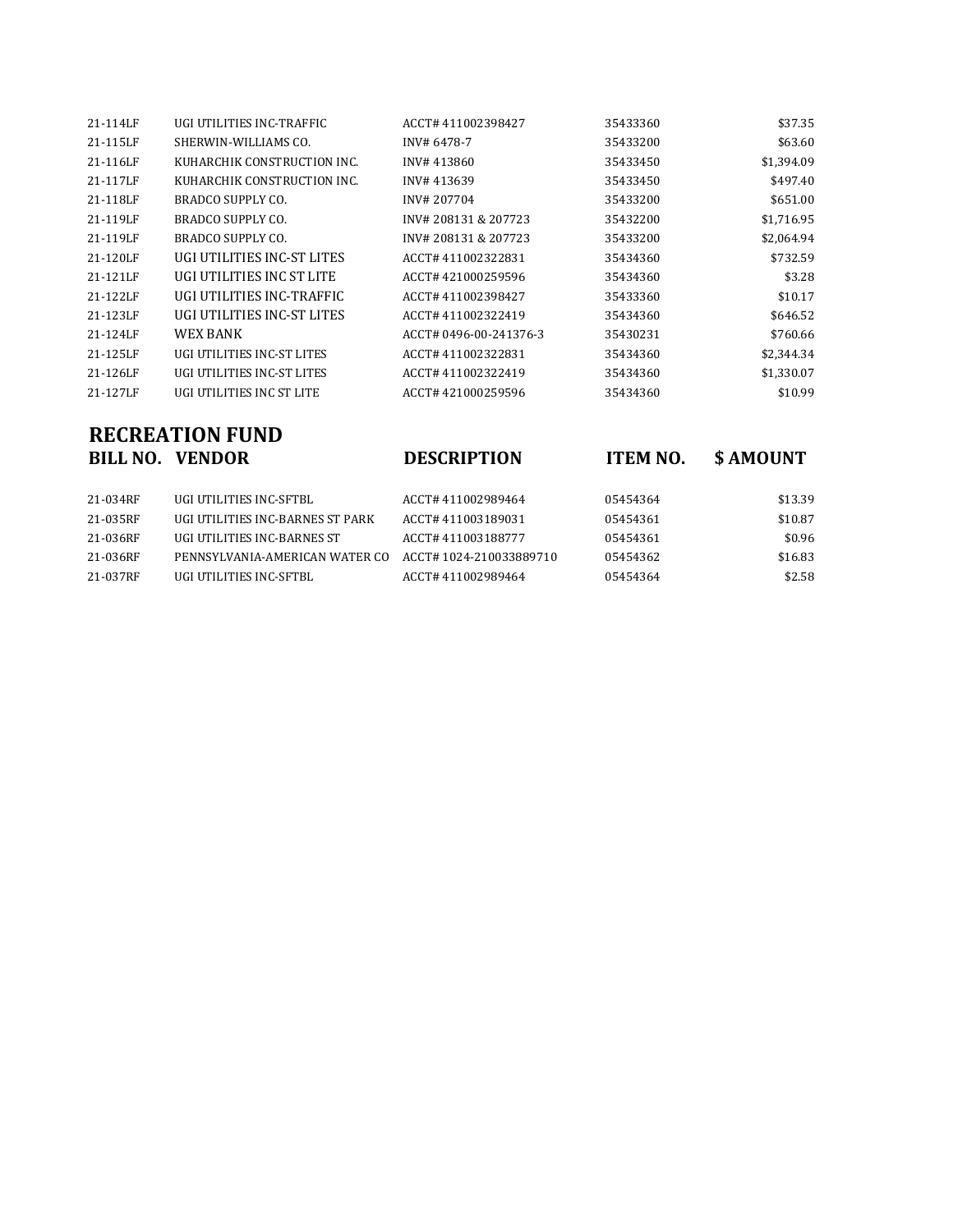| 21-114LF | UGI UTILITIES INC-TRAFFIC   | ACCT#411002398427     | 35433360 | \$37.35    |
|----------|-----------------------------|-----------------------|----------|------------|
| 21-115LF | SHERWIN-WILLIAMS CO.        | INV# 6478-7           | 35433200 | \$63.60    |
| 21-116LF | KUHARCHIK CONSTRUCTION INC. | INV#413860            | 35433450 | \$1,394.09 |
| 21-117LF | KUHARCHIK CONSTRUCTION INC. | INV#413639            | 35433450 | \$497.40   |
| 21-118LF | BRADCO SUPPLY CO.           | INV# 207704           | 35433200 | \$651.00   |
| 21-119LF | BRADCO SUPPLY CO.           | INV# 208131 & 207723  | 35432200 | \$1,716.95 |
| 21-119LF | BRADCO SUPPLY CO.           | INV# 208131 & 207723  | 35433200 | \$2,064.94 |
| 21-120LF | UGI UTILITIES INC-ST LITES  | ACCT#411002322831     | 35434360 | \$732.59   |
| 21-121LF | UGI UTILITIES INC ST LITE   | ACCT#421000259596     | 35434360 | \$3.28     |
| 21-122LF | UGI UTILITIES INC-TRAFFIC   | ACCT#411002398427     | 35433360 | \$10.17    |
| 21-123LF | UGI UTILITIES INC-ST LITES  | ACCT#411002322419     | 35434360 | \$646.52   |
| 21-124LF | WEX BANK                    | ACCT#0496-00-241376-3 | 35430231 | \$760.66   |
| 21-125LF | UGI UTILITIES INC-ST LITES  | ACCT#411002322831     | 35434360 | \$2,344.34 |
| 21-126LF | UGI UTILITIES INC-ST LITES  | ACCT#411002322419     | 35434360 | \$1,330.07 |
| 21-127LF | UGI UTILITIES INC ST LITE   | ACCT#421000259596     | 35434360 | \$10.99    |

## **RECREATION FUND<br>BILL NO. VENDOR**

**BILL NO. VENDOR DESCRIPTION ITEM NO. \$ AMOUNT**

| UGI UTILITIES INC-SFTBL          | ACCT# 411002989464     | 05454364 | \$13.39 |
|----------------------------------|------------------------|----------|---------|
| UGI UTILITIES INC-BARNES ST PARK | ACCT#411003189031      | 05454361 | \$10.87 |
| UGI UTILITIES INC-BARNES ST      | ACCT# 411003188777     | 05454361 | \$0.96  |
| PENNSYLVANIA-AMERICAN WATER CO   | ACCT#1024-210033889710 | 05454362 | \$16.83 |
| UGI UTILITIES INC-SFTBL          | ACCT# 411002989464     | 05454364 | \$2.58  |
|                                  |                        |          |         |